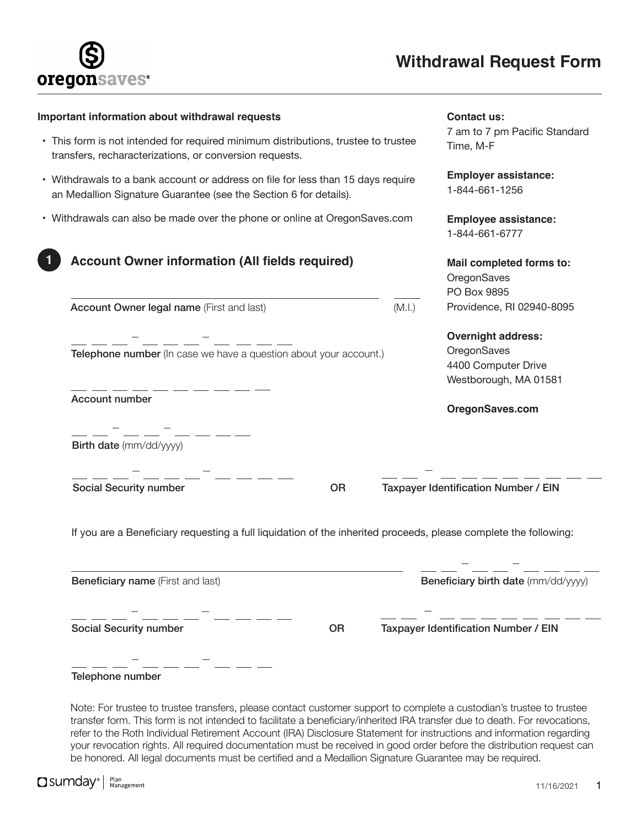

| Important information about withdrawal requests                                                                                                       | Contact us:                                                                              |  |
|-------------------------------------------------------------------------------------------------------------------------------------------------------|------------------------------------------------------------------------------------------|--|
| • This form is not intended for required minimum distributions, trustee to trustee<br>transfers, recharacterizations, or conversion requests.         | 7 am to 7 pm Pacific Standard<br>Time, M-F                                               |  |
| • Withdrawals to a bank account or address on file for less than 15 days require<br>an Medallion Signature Guarantee (see the Section 6 for details). | <b>Employer assistance:</b><br>1-844-661-1256                                            |  |
| • Withdrawals can also be made over the phone or online at OregonSaves.com                                                                            | <b>Employee assistance:</b><br>1-844-661-6777                                            |  |
| <b>Account Owner information (All fields required)</b>                                                                                                | Mail completed forms to:<br>OregonSaves<br>PO Box 9895                                   |  |
| (M.l.)<br>Account Owner legal name (First and last)                                                                                                   | Providence, RI 02940-8095                                                                |  |
| __ __ __ <sup>_</sup> __ __ __ __<br>Telephone number (In case we have a question about your account.)                                                | <b>Overnight address:</b><br>OregonSaves<br>4400 Computer Drive<br>Westborough, MA 01581 |  |
| Account number                                                                                                                                        | OregonSaves.com                                                                          |  |
| Birth date (mm/dd/yyyy)                                                                                                                               |                                                                                          |  |
| <b>Social Security number</b><br><b>OR</b>                                                                                                            | Taxpayer Identification Number / EIN                                                     |  |
| If you are a Beneficiary requesting a full liquidation of the inherited proceeds, please complete the following:                                      |                                                                                          |  |
| <b>Beneficiary name</b> (First and last)                                                                                                              | Beneficiary birth date (mm/dd/yyyy)                                                      |  |
|                                                                                                                                                       |                                                                                          |  |
| <b>Social Security number</b><br><b>OR</b>                                                                                                            | Taxpayer Identification Number / EIN                                                     |  |
| Telephone number                                                                                                                                      |                                                                                          |  |

transfer form. This form is not intended to facilitate a beneficiary/inherited IRA transfer due to death. For revocations, refer to the Roth Individual Retirement Account (IRA) Disclosure Statement for instructions and information regarding your revocation rights. All required documentation must be received in good order before the distribution request can be honored. All legal documents must be certified and a Medallion Signature Guarantee may be required.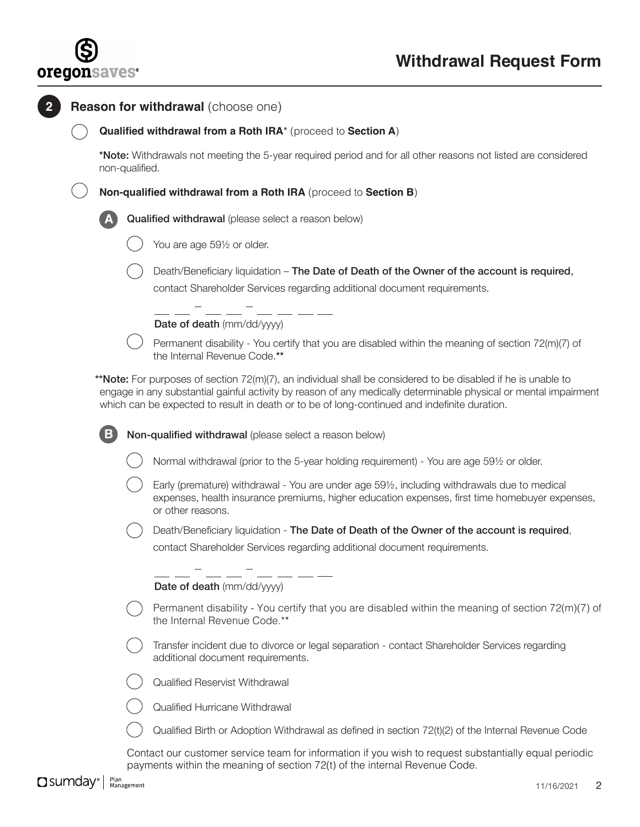

|                                                                 | Qualified withdrawal from a Roth IRA* (proceed to Section A)                                                                                                                                                                                                                                                                             |  |  |  |
|-----------------------------------------------------------------|------------------------------------------------------------------------------------------------------------------------------------------------------------------------------------------------------------------------------------------------------------------------------------------------------------------------------------------|--|--|--|
| non-qualified.                                                  | *Note: Withdrawals not meeting the 5-year required period and for all other reasons not listed are considered                                                                                                                                                                                                                            |  |  |  |
| Non-qualified withdrawal from a Roth IRA (proceed to Section B) |                                                                                                                                                                                                                                                                                                                                          |  |  |  |
|                                                                 | Qualified withdrawal (please select a reason below)                                                                                                                                                                                                                                                                                      |  |  |  |
|                                                                 | You are age 591/2 or older.                                                                                                                                                                                                                                                                                                              |  |  |  |
|                                                                 | Death/Beneficiary liquidation – The Date of Death of the Owner of the account is required,<br>contact Shareholder Services regarding additional document requirements.                                                                                                                                                                   |  |  |  |
|                                                                 | Date of death (mm/dd/yyyy)                                                                                                                                                                                                                                                                                                               |  |  |  |
|                                                                 | Permanent disability - You certify that you are disabled within the meaning of section 72(m)(7) of<br>the Internal Revenue Code.**                                                                                                                                                                                                       |  |  |  |
|                                                                 | <b>**Note:</b> For purposes of section 72(m)(7), an individual shall be considered to be disabled if he is unable to<br>engage in any substantial gainful activity by reason of any medically determinable physical or mental impairment<br>which can be expected to result in death or to be of long-continued and indefinite duration. |  |  |  |
| $\mathbf{B}$                                                    | Non-qualified withdrawal (please select a reason below)                                                                                                                                                                                                                                                                                  |  |  |  |
|                                                                 | Normal withdrawal (prior to the 5-year holding requirement) - You are age 591/2 or older.                                                                                                                                                                                                                                                |  |  |  |
|                                                                 | Early (premature) withdrawal - You are under age 591/2, including withdrawals due to medical<br>expenses, health insurance premiums, higher education expenses, first time homebuyer expenses,<br>or other reasons.                                                                                                                      |  |  |  |
|                                                                 | Death/Beneficiary liquidation - The Date of Death of the Owner of the account is required,                                                                                                                                                                                                                                               |  |  |  |
|                                                                 |                                                                                                                                                                                                                                                                                                                                          |  |  |  |
|                                                                 | contact Shareholder Services regarding additional document requirements.                                                                                                                                                                                                                                                                 |  |  |  |
|                                                                 | Date of death (mm/dd/yyyy)                                                                                                                                                                                                                                                                                                               |  |  |  |
|                                                                 | the Internal Revenue Code.**                                                                                                                                                                                                                                                                                                             |  |  |  |
|                                                                 | Transfer incident due to divorce or legal separation - contact Shareholder Services regarding<br>additional document requirements.                                                                                                                                                                                                       |  |  |  |
|                                                                 | Qualified Reservist Withdrawal                                                                                                                                                                                                                                                                                                           |  |  |  |
|                                                                 | Qualified Hurricane Withdrawal                                                                                                                                                                                                                                                                                                           |  |  |  |
|                                                                 | Permanent disability - You certify that you are disabled within the meaning of section $72(m)(7)$ of<br>Qualified Birth or Adoption Withdrawal as defined in section 72(t)(2) of the Internal Revenue Code                                                                                                                               |  |  |  |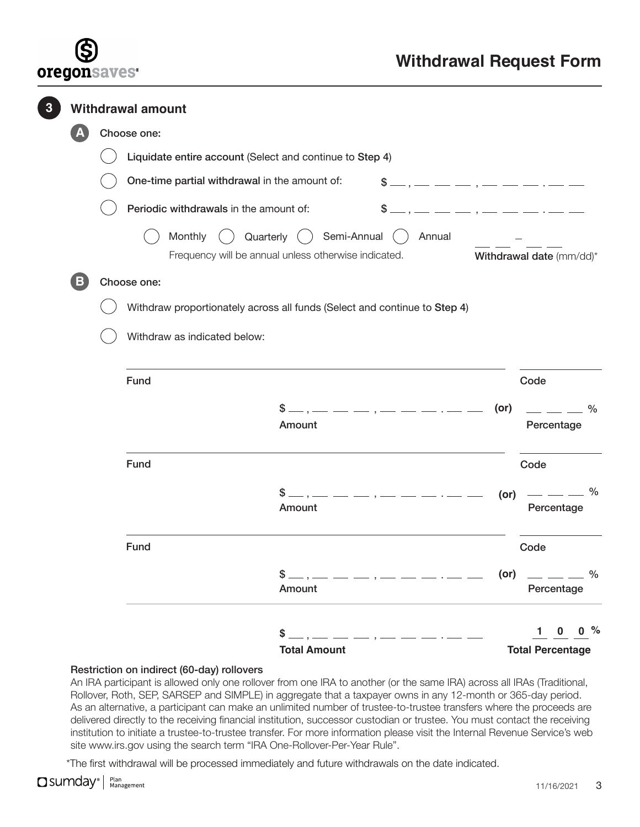

|  | <b>Withdrawal amount</b> |             |                                                                                |                                                                                                   |                                                                                                                                                                                                                                                                                                                     |            |                                     |               |
|--|--------------------------|-------------|--------------------------------------------------------------------------------|---------------------------------------------------------------------------------------------------|---------------------------------------------------------------------------------------------------------------------------------------------------------------------------------------------------------------------------------------------------------------------------------------------------------------------|------------|-------------------------------------|---------------|
|  |                          | Choose one: |                                                                                |                                                                                                   |                                                                                                                                                                                                                                                                                                                     |            |                                     |               |
|  |                          |             | Liquidate entire account (Select and continue to Step 4)                       |                                                                                                   |                                                                                                                                                                                                                                                                                                                     |            |                                     |               |
|  |                          |             | One-time partial withdrawal in the amount of:                                  |                                                                                                   | $$ \ldots \ldots \ldots \ldots \ldots \ldots \ldots \ldots \ldots$                                                                                                                                                                                                                                                  |            |                                     |               |
|  |                          |             | Periodic withdrawals in the amount of:                                         |                                                                                                   | $$,$ $---,$ $---,$ $-- -- ---$                                                                                                                                                                                                                                                                                      |            |                                     |               |
|  |                          |             | Quarterly (<br>Monthly<br>Frequency will be annual unless otherwise indicated. | () Semi-Annual ()                                                                                 | Annual                                                                                                                                                                                                                                                                                                              |            | Withdrawal date (mm/dd)*            |               |
|  | B                        | Choose one: |                                                                                |                                                                                                   |                                                                                                                                                                                                                                                                                                                     |            |                                     |               |
|  |                          |             | Withdraw proportionately across all funds (Select and continue to Step 4)      |                                                                                                   |                                                                                                                                                                                                                                                                                                                     |            |                                     |               |
|  |                          |             | Withdraw as indicated below:                                                   |                                                                                                   |                                                                                                                                                                                                                                                                                                                     |            |                                     |               |
|  |                          |             | Fund                                                                           |                                                                                                   |                                                                                                                                                                                                                                                                                                                     |            | Code                                |               |
|  |                          |             |                                                                                | \$ _<br>Amount                                                                                    | $-$ , $   -$ , $    -$                                                                                                                                                                                                                                                                                              | $($ or $)$ | Percentage                          | $\frac{0}{0}$ |
|  |                          |             | Fund                                                                           |                                                                                                   |                                                                                                                                                                                                                                                                                                                     |            | Code                                |               |
|  |                          |             | \$                                                                             | Amount                                                                                            | $\frac{1}{1}$ $\frac{1}{1}$ $\frac{1}{1}$ $\frac{1}{1}$ $\frac{1}{1}$ $\frac{1}{1}$ $\frac{1}{1}$ $\frac{1}{1}$ $\frac{1}{1}$ $\frac{1}{1}$ $\frac{1}{1}$ $\frac{1}{1}$ $\frac{1}{1}$ $\frac{1}{1}$ $\frac{1}{1}$ $\frac{1}{1}$ $\frac{1}{1}$ $\frac{1}{1}$ $\frac{1}{1}$ $\frac{1}{1}$ $\frac{1}{1}$ $\frac{1}{1}$ | $($ or $)$ | Percentage                          | $\frac{0}{0}$ |
|  |                          |             | Fund                                                                           |                                                                                                   |                                                                                                                                                                                                                                                                                                                     |            | Code                                |               |
|  |                          |             |                                                                                | $$ \$<br>Amount                                                                                   |                                                                                                                                                                                                                                                                                                                     |            | (or) $-  \frac{9}{6}$<br>Percentage |               |
|  |                          |             |                                                                                | $$,$ $\_\_$ . $\_\_$ $\_\_$ $\_\_$ $\_\_$ $\_\_$ $\_\_$ $\_\_$ $\_\_$ $\_\_$ $\_\_$ $\_\_$ $\_\_$ |                                                                                                                                                                                                                                                                                                                     |            | $1 \t 0 \t 0 \%$                    |               |
|  |                          |             |                                                                                | <b>Total Amount</b>                                                                               |                                                                                                                                                                                                                                                                                                                     |            | <b>Total Percentage</b>             |               |

### Restriction on indirect (60-day) rollovers

An IRA participant is allowed only one rollover from one IRA to another (or the same IRA) across all IRAs (Traditional, Rollover, Roth, SEP, SARSEP and SIMPLE) in aggregate that a taxpayer owns in any 12-month or 365-day period. As an alternative, a participant can make an unlimited number of trustee-to-trustee transfers where the proceeds are delivered directly to the receiving financial institution, successor custodian or trustee. You must contact the receiving institution to initiate a trustee-to-trustee transfer. For more information please visit the Internal Revenue Service's web site [www.irs.gov](http://www.irs.gov) using the search term "IRA One-Rollover-Per-Year Rule".

\*The first withdrawal will be processed immediately and future withdrawals on the date indicated.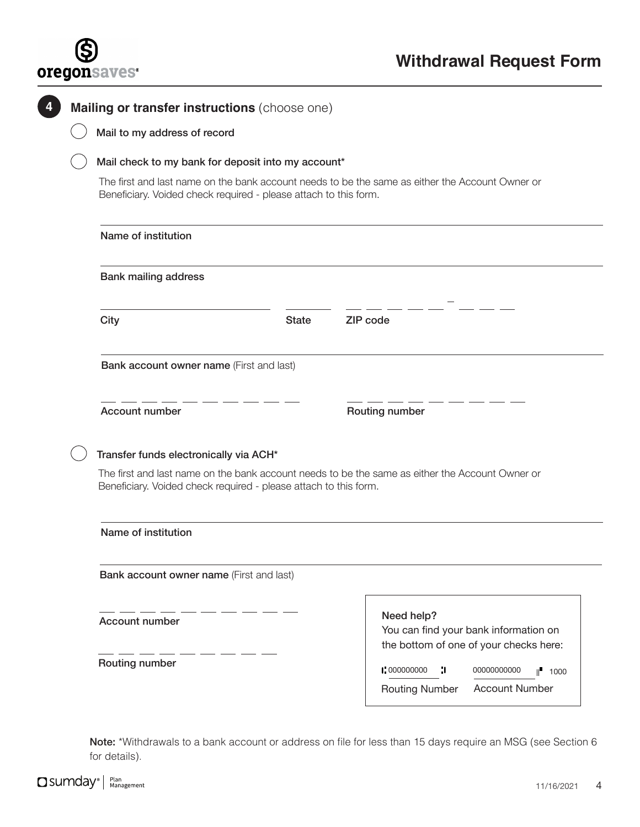

C

|  | Mail to my address of record                                                                                                                                                                                                                     |              |                                                                                               |  |
|--|--------------------------------------------------------------------------------------------------------------------------------------------------------------------------------------------------------------------------------------------------|--------------|-----------------------------------------------------------------------------------------------|--|
|  | Mail check to my bank for deposit into my account*<br>The first and last name on the bank account needs to be the same as either the Account Owner or<br>Beneficiary. Voided check required - please attach to this form.<br>Name of institution |              |                                                                                               |  |
|  |                                                                                                                                                                                                                                                  |              |                                                                                               |  |
|  |                                                                                                                                                                                                                                                  |              |                                                                                               |  |
|  | <b>Bank mailing address</b>                                                                                                                                                                                                                      |              |                                                                                               |  |
|  | City                                                                                                                                                                                                                                             | <b>State</b> | ZIP code                                                                                      |  |
|  | Bank account owner name (First and last)                                                                                                                                                                                                         |              |                                                                                               |  |
|  | Account number                                                                                                                                                                                                                                   |              | Routing number                                                                                |  |
|  | Transfer funds electronically via ACH*                                                                                                                                                                                                           |              |                                                                                               |  |
|  | The first and last name on the bank account needs to be the same as either the Account Owner or<br>Beneficiary. Voided check required - please attach to this form.<br>Name of institution                                                       |              |                                                                                               |  |
|  |                                                                                                                                                                                                                                                  |              |                                                                                               |  |
|  | Bank account owner name (First and last)                                                                                                                                                                                                         |              |                                                                                               |  |
|  |                                                                                                                                                                                                                                                  |              |                                                                                               |  |
|  | Account number                                                                                                                                                                                                                                   |              | Need help?<br>You can find your bank information on<br>the bottom of one of your checks here: |  |

Note: \*Withdrawals to a bank account or address on file for less than 15 days require an MSG (see Section 6 for details).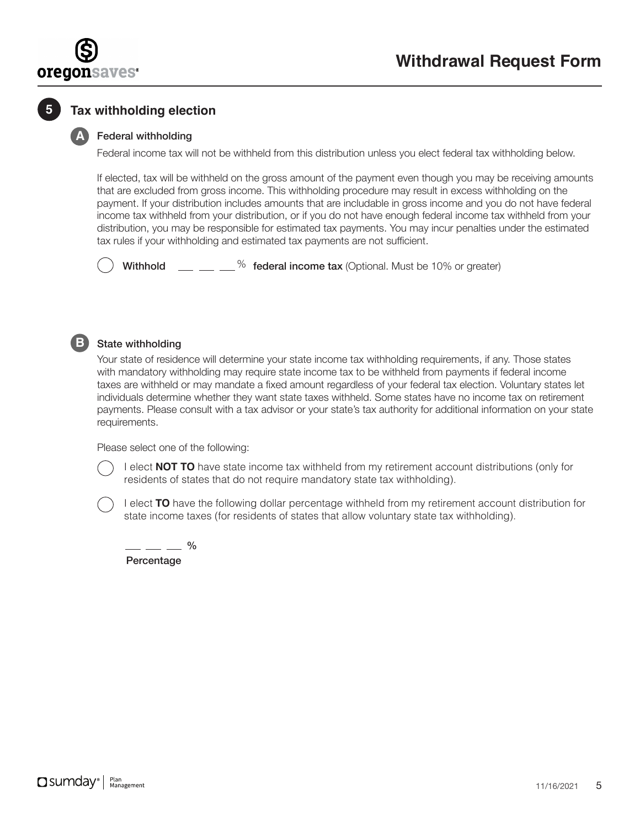

## **5 Tax withholding election**

### **A** Federal withholding

Federal income tax will not be withheld from this distribution unless you elect federal tax withholding below.

If elected, tax will be withheld on the gross amount of the payment even though you may be receiving amounts that are excluded from gross income. This withholding procedure may result in excess withholding on the payment. If your distribution includes amounts that are includable in gross income and you do not have federal income tax withheld from your distribution, or if you do not have enough federal income tax withheld from your distribution, you may be responsible for estimated tax payments. You may incur penalties under the estimated tax rules if your withholding and estimated tax payments are not sufficient.

Withhold  $\mu = 2$   $\mu$  federal income tax (Optional. Must be 10% or greater)



### **State withholding**

Your state of residence will determine your state income tax withholding requirements, if any. Those states with mandatory withholding may require state income tax to be withheld from payments if federal income taxes are withheld or may mandate a fixed amount regardless of your federal tax election. Voluntary states let individuals determine whether they want state taxes withheld. Some states have no income tax on retirement payments. Please consult with a tax advisor or your state's tax authority for additional information on your state requirements.

Please select one of the following:

I elect **NOT TO** have state income tax withheld from my retirement account distributions (only for residents of states that do not require mandatory state tax withholding).

I elect **TO** have the following dollar percentage withheld from my retirement account distribution for state income taxes (for residents of states that allow voluntary state tax withholding).

- — — % Percentage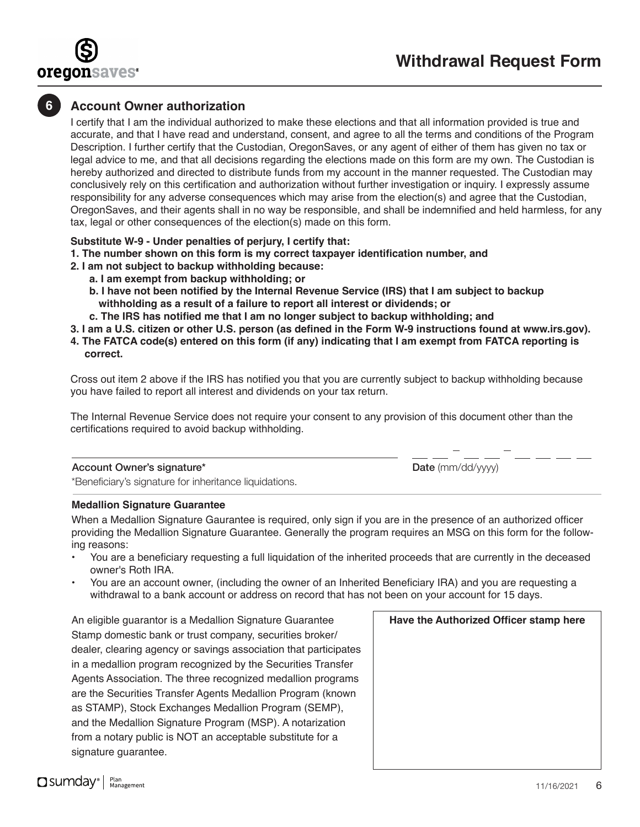

### **6 Account Owner authorization**

I certify that I am the individual authorized to make these elections and that all information provided is true and accurate, and that I have read and understand, consent, and agree to all the terms and conditions of the Program Description. I further certify that the Custodian, OregonSaves, or any agent of either of them has given no tax or legal advice to me, and that all decisions regarding the elections made on this form are my own. The Custodian is hereby authorized and directed to distribute funds from my account in the manner requested. The Custodian may conclusively rely on this certification and authorization without further investigation or inquiry. I expressly assume responsibility for any adverse consequences which may arise from the election(s) and agree that the Custodian, OregonSaves, and their agents shall in no way be responsible, and shall be indemnified and held harmless, for any tax, legal or other consequences of the election(s) made on this form.

### **Substitute W-9 - Under penalties of perjury, I certify that:**

- **1. The number shown on this form is my correct taxpayer identification number, and**
- **2. I am not subject to backup withholding because:**
	- **a. I am exempt from backup withholding; or**
	- **b. I have not been notified by the Internal Revenue Service (IRS) that I am subject to backup withholding as a result of a failure to report all interest or dividends; or**
	- **c. The IRS has notified me that I am no longer subject to backup withholding; and**

**3. I am a U.S. citizen or other U.S. person (as defined in the Form W-9 instructions found at [www.irs.gov\)](http://www.irs.gov).**

**4. The FATCA code(s) entered on this form (if any) indicating that I am exempt from FATCA reporting is correct.**

Cross out item 2 above if the IRS has notified you that you are currently subject to backup withholding because you have failed to report all interest and dividends on your tax return.

The Internal Revenue Service does not require your consent to any provision of this document other than the certifications required to avoid backup withholding.

#### Account Owner's signature\*

Date (mm/dd/yyyy)

\*Beneficiary's signature for inheritance liquidations.

### **Medallion Signature Guarantee**

When a Medallion Signature Gaurantee is required, only sign if you are in the presence of an authorized officer providing the Medallion Signature Guarantee. Generally the program requires an MSG on this form for the following reasons:

- You are a beneficiary requesting a full liquidation of the inherited proceeds that are currently in the deceased owner's Roth IRA.
- You are an account owner, (including the owner of an Inherited Beneficiary IRA) and you are requesting a withdrawal to a bank account or address on record that has not been on your account for 15 days.

An eligible guarantor is a Medallion Signature Guarantee Stamp domestic bank or trust company, securities broker/ dealer, clearing agency or savings association that participates in a medallion program recognized by the Securities Transfer Agents Association. The three recognized medallion programs are the Securities Transfer Agents Medallion Program (known as STAMP), Stock Exchanges Medallion Program (SEMP), and the Medallion Signature Program (MSP). A notarization from a notary public is NOT an acceptable substitute for a signature guarantee.